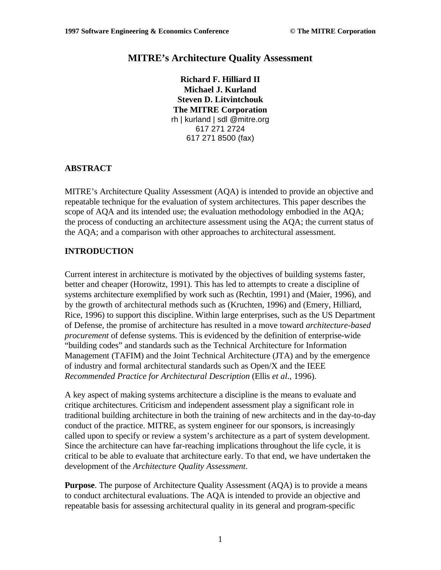# **MITRE's Architecture Quality Assessment**

**Richard F. Hilliard II Michael J. Kurland Steven D. Litvintchouk The MITRE Corporation** rh | kurland | sdl @mitre.org 617 271 2724 617 271 8500 (fax)

#### **ABSTRACT**

MITRE's Architecture Quality Assessment (AQA) is intended to provide an objective and repeatable technique for the evaluation of system architectures. This paper describes the scope of AQA and its intended use; the evaluation methodology embodied in the AQA; the process of conducting an architecture assessment using the AQA; the current status of the AQA; and a comparison with other approaches to architectural assessment.

#### **INTRODUCTION**

Current interest in architecture is motivated by the objectives of building systems faster, better and cheaper (Horowitz, 1991). This has led to attempts to create a discipline of systems architecture exemplified by work such as (Rechtin, 1991) and (Maier, 1996), and by the growth of architectural methods such as (Kruchten, 1996) and (Emery, Hilliard, Rice, 1996) to support this discipline. Within large enterprises, such as the US Department of Defense, the promise of architecture has resulted in a move toward *architecture-based procurement* of defense systems. This is evidenced by the definition of enterprise-wide "building codes" and standards such as the Technical Architecture for Information Management (TAFIM) and the Joint Technical Architecture (JTA) and by the emergence of industry and formal architectural standards such as Open/X and the IEEE *Recommended Practice for Architectural Description* (Ellis *et al*., 1996).

A key aspect of making systems architecture a discipline is the means to evaluate and critique architectures. Criticism and independent assessment play a significant role in traditional building architecture in both the training of new architects and in the day-to-day conduct of the practice. MITRE, as system engineer for our sponsors, is increasingly called upon to specify or review a system's architecture as a part of system development. Since the architecture can have far-reaching implications throughout the life cycle, it is critical to be able to evaluate that architecture early. To that end, we have undertaken the development of the *Architecture Quality Assessment*.

**Purpose**. The purpose of Architecture Quality Assessment (AQA) is to provide a means to conduct architectural evaluations. The AQA is intended to provide an objective and repeatable basis for assessing architectural quality in its general and program-specific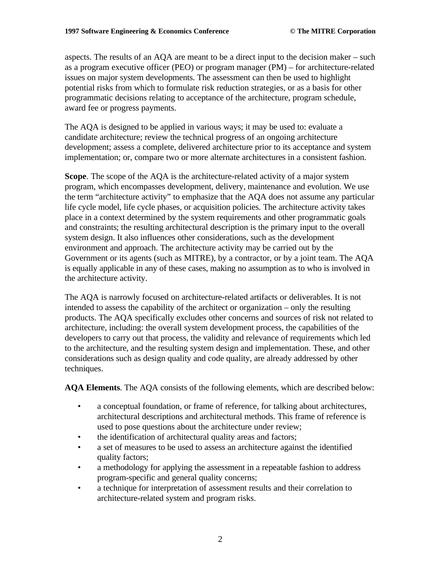aspects. The results of an AQA are meant to be a direct input to the decision maker – such as a program executive officer (PEO) or program manager (PM) – for architecture-related issues on major system developments. The assessment can then be used to highlight potential risks from which to formulate risk reduction strategies, or as a basis for other programmatic decisions relating to acceptance of the architecture, program schedule, award fee or progress payments.

The AQA is designed to be applied in various ways; it may be used to: evaluate a candidate architecture; review the technical progress of an ongoing architecture development; assess a complete, delivered architecture prior to its acceptance and system implementation; or, compare two or more alternate architectures in a consistent fashion.

**Scope**. The scope of the AQA is the architecture-related activity of a major system program, which encompasses development, delivery, maintenance and evolution. We use the term "architecture activity" to emphasize that the AQA does not assume any particular life cycle model, life cycle phases, or acquisition policies. The architecture activity takes place in a context determined by the system requirements and other programmatic goals and constraints; the resulting architectural description is the primary input to the overall system design. It also influences other considerations, such as the development environment and approach. The architecture activity may be carried out by the Government or its agents (such as MITRE), by a contractor, or by a joint team. The AQA is equally applicable in any of these cases, making no assumption as to who is involved in the architecture activity.

The AQA is narrowly focused on architecture-related artifacts or deliverables. It is not intended to assess the capability of the architect or organization – only the resulting products. The AQA specifically excludes other concerns and sources of risk not related to architecture, including: the overall system development process, the capabilities of the developers to carry out that process, the validity and relevance of requirements which led to the architecture, and the resulting system design and implementation. These, and other considerations such as design quality and code quality, are already addressed by other techniques.

**AQA Elements**. The AQA consists of the following elements, which are described below:

- a conceptual foundation, or frame of reference, for talking about architectures, architectural descriptions and architectural methods. This frame of reference is used to pose questions about the architecture under review;
- the identification of architectural quality areas and factors;
- a set of measures to be used to assess an architecture against the identified quality factors;
- a methodology for applying the assessment in a repeatable fashion to address program-specific and general quality concerns;
- a technique for interpretation of assessment results and their correlation to architecture-related system and program risks.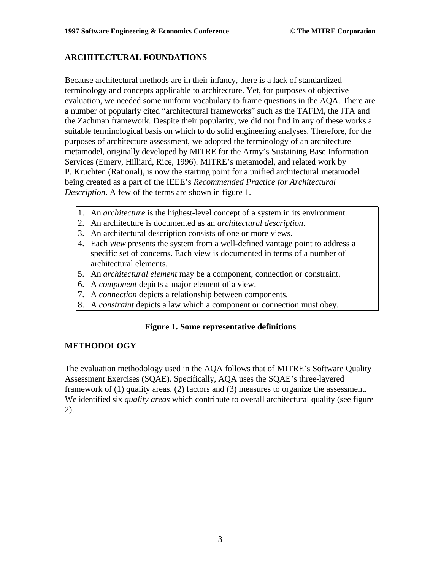# **ARCHITECTURAL FOUNDATIONS**

Because architectural methods are in their infancy, there is a lack of standardized terminology and concepts applicable to architecture. Yet, for purposes of objective evaluation, we needed some uniform vocabulary to frame questions in the AQA. There are a number of popularly cited "architectural frameworks" such as the TAFIM, the JTA and the Zachman framework. Despite their popularity, we did not find in any of these works a suitable terminological basis on which to do solid engineering analyses. Therefore, for the purposes of architecture assessment, we adopted the terminology of an architecture metamodel, originally developed by MITRE for the Army's Sustaining Base Information Services (Emery, Hilliard, Rice, 1996). MITRE's metamodel, and related work by P. Kruchten (Rational), is now the starting point for a unified architectural metamodel being created as a part of the IEEE's *Recommended Practice for Architectural Description*. A few of the terms are shown in figure 1.

- 1. An *architecture* is the highest-level concept of a system in its environment.
- 2. An architecture is documented as an *architectural description*.
- 3. An architectural description consists of one or more views.
- 4. Each *view* presents the system from a well-defined vantage point to address a specific set of concerns. Each view is documented in terms of a number of architectural elements.
- 5. An *architectural element* may be a component, connection or constraint.
- 6. A *component* depicts a major element of a view.
- 7. A *connection* depicts a relationship between components.
- 8. A *constraint* depicts a law which a component or connection must obey.

# **Figure 1. Some representative definitions**

# **METHODOLOGY**

The evaluation methodology used in the AQA follows that of MITRE's Software Quality Assessment Exercises (SQAE). Specifically, AQA uses the SQAE's three-layered framework of (1) quality areas, (2) factors and (3) measures to organize the assessment. We identified six *quality areas* which contribute to overall architectural quality (see figure 2).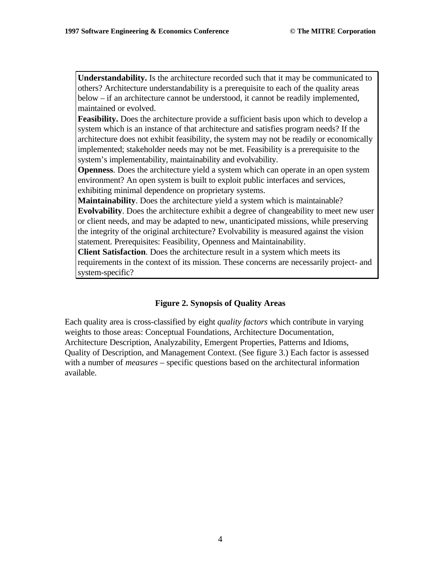**Understandability.** Is the architecture recorded such that it may be communicated to others? Architecture understandability is a prerequisite to each of the quality areas below – if an architecture cannot be understood, it cannot be readily implemented, maintained or evolved.

**Feasibility.** Does the architecture provide a sufficient basis upon which to develop a system which is an instance of that architecture and satisfies program needs? If the architecture does not exhibit feasibility, the system may not be readily or economically implemented; stakeholder needs may not be met. Feasibility is a prerequisite to the system's implementability, maintainability and evolvability.

**Openness**. Does the architecture yield a system which can operate in an open system environment? An open system is built to exploit public interfaces and services, exhibiting minimal dependence on proprietary systems.

**Maintainability**. Does the architecture yield a system which is maintainable? **Evolvability**. Does the architecture exhibit a degree of changeability to meet new user or client needs, and may be adapted to new, unanticipated missions, while preserving the integrity of the original architecture? Evolvability is measured against the vision statement. Prerequisites: Feasibility, Openness and Maintainability.

**Client Satisfaction**. Does the architecture result in a system which meets its requirements in the context of its mission. These concerns are necessarily project- and system-specific?

# **Figure 2. Synopsis of Quality Areas**

Each quality area is cross-classified by eight *quality factors* which contribute in varying weights to those areas: Conceptual Foundations, Architecture Documentation, Architecture Description, Analyzability, Emergent Properties, Patterns and Idioms, Quality of Description, and Management Context. (See figure 3.) Each factor is assessed with a number of *measures* – specific questions based on the architectural information available.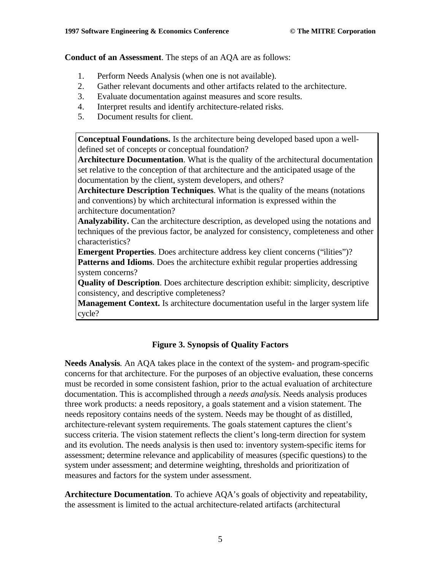**Conduct of an Assessment**. The steps of an AQA are as follows:

- 1. Perform Needs Analysis (when one is not available).
- 2. Gather relevant documents and other artifacts related to the architecture.
- 3. Evaluate documentation against measures and score results.
- 4. Interpret results and identify architecture-related risks.
- 5. Document results for client.

**Conceptual Foundations.** Is the architecture being developed based upon a welldefined set of concepts or conceptual foundation?

**Architecture Documentation**. What is the quality of the architectural documentation set relative to the conception of that architecture and the anticipated usage of the documentation by the client, system developers, and others?

**Architecture Description Techniques**. What is the quality of the means (notations and conventions) by which architectural information is expressed within the architecture documentation?

**Analyzability.** Can the architecture description, as developed using the notations and techniques of the previous factor, be analyzed for consistency, completeness and other characteristics?

**Emergent Properties**. Does architecture address key client concerns ("ilities")? **Patterns and Idioms**. Does the architecture exhibit regular properties addressing system concerns?

**Quality of Description**. Does architecture description exhibit: simplicity, descriptive consistency, and descriptive completeness?

**Management Context.** Is architecture documentation useful in the larger system life cycle?

# **Figure 3. Synopsis of Quality Factors**

**Needs Analysis**. An AQA takes place in the context of the system- and program-specific concerns for that architecture. For the purposes of an objective evaluation, these concerns must be recorded in some consistent fashion, prior to the actual evaluation of architecture documentation. This is accomplished through a *needs analysis*. Needs analysis produces three work products: a needs repository, a goals statement and a vision statement. The needs repository contains needs of the system. Needs may be thought of as distilled, architecture-relevant system requirements. The goals statement captures the client's success criteria. The vision statement reflects the client's long-term direction for system and its evolution. The needs analysis is then used to: inventory system-specific items for assessment; determine relevance and applicability of measures (specific questions) to the system under assessment; and determine weighting, thresholds and prioritization of measures and factors for the system under assessment.

**Architecture Documentation**. To achieve AQA's goals of objectivity and repeatability, the assessment is limited to the actual architecture-related artifacts (architectural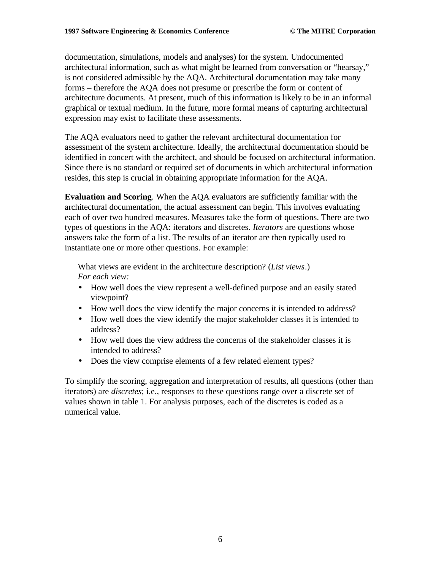documentation, simulations, models and analyses) for the system. Undocumented architectural information, such as what might be learned from conversation or "hearsay," is not considered admissible by the AQA. Architectural documentation may take many forms – therefore the AQA does not presume or prescribe the form or content of architecture documents. At present, much of this information is likely to be in an informal graphical or textual medium. In the future, more formal means of capturing architectural expression may exist to facilitate these assessments.

The AQA evaluators need to gather the relevant architectural documentation for assessment of the system architecture. Ideally, the architectural documentation should be identified in concert with the architect, and should be focused on architectural information. Since there is no standard or required set of documents in which architectural information resides, this step is crucial in obtaining appropriate information for the AQA.

**Evaluation and Scoring**. When the AQA evaluators are sufficiently familiar with the architectural documentation, the actual assessment can begin. This involves evaluating each of over two hundred measures. Measures take the form of questions. There are two types of questions in the AQA: iterators and discretes. *Iterators* are questions whose answers take the form of a list. The results of an iterator are then typically used to instantiate one or more other questions. For example:

What views are evident in the architecture description? (*List views*.) *For each view:*

- How well does the view represent a well-defined purpose and an easily stated viewpoint?
- How well does the view identify the major concerns it is intended to address?
- How well does the view identify the major stakeholder classes it is intended to address?
- How well does the view address the concerns of the stakeholder classes it is intended to address?
- Does the view comprise elements of a few related element types?

To simplify the scoring, aggregation and interpretation of results, all questions (other than iterators) are *discretes*; i.e., responses to these questions range over a discrete set of values shown in table 1. For analysis purposes, each of the discretes is coded as a numerical value.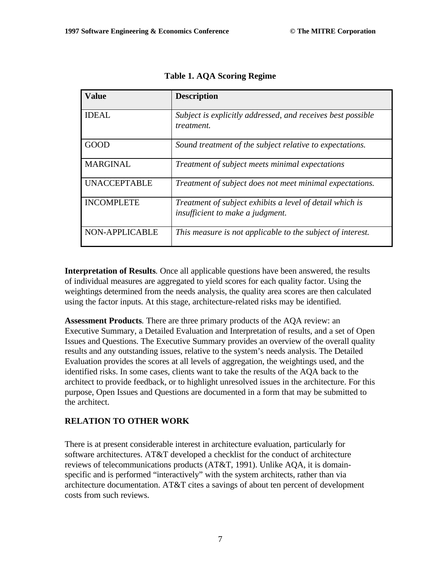| <b>Value</b>        | <b>Description</b>                                                                           |
|---------------------|----------------------------------------------------------------------------------------------|
| <b>IDEAL</b>        | Subject is explicitly addressed, and receives best possible<br>treatment.                    |
| GOOD                | Sound treatment of the subject relative to expectations.                                     |
| <b>MARGINAL</b>     | Treatment of subject meets minimal expectations                                              |
| <b>UNACCEPTABLE</b> | Treatment of subject does not meet minimal expectations.                                     |
| <b>INCOMPLETE</b>   | Treatment of subject exhibits a level of detail which is<br>insufficient to make a judgment. |
| NON-APPLICABLE      | This measure is not applicable to the subject of interest.                                   |

**Table 1. AQA Scoring Regime**

**Interpretation of Results**. Once all applicable questions have been answered, the results of individual measures are aggregated to yield scores for each quality factor. Using the weightings determined from the needs analysis, the quality area scores are then calculated using the factor inputs. At this stage, architecture-related risks may be identified.

**Assessment Products**. There are three primary products of the AQA review: an Executive Summary, a Detailed Evaluation and Interpretation of results, and a set of Open Issues and Questions. The Executive Summary provides an overview of the overall quality results and any outstanding issues, relative to the system's needs analysis. The Detailed Evaluation provides the scores at all levels of aggregation, the weightings used, and the identified risks. In some cases, clients want to take the results of the AQA back to the architect to provide feedback, or to highlight unresolved issues in the architecture. For this purpose, Open Issues and Questions are documented in a form that may be submitted to the architect.

# **RELATION TO OTHER WORK**

There is at present considerable interest in architecture evaluation, particularly for software architectures. AT&T developed a checklist for the conduct of architecture reviews of telecommunications products (AT&T, 1991). Unlike AQA, it is domainspecific and is performed "interactively" with the system architects, rather than via architecture documentation. AT&T cites a savings of about ten percent of development costs from such reviews.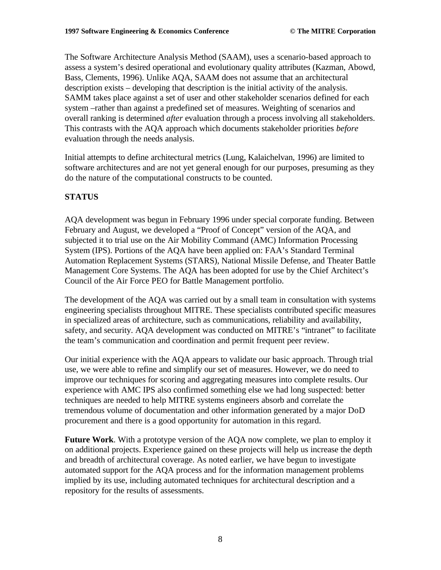The Software Architecture Analysis Method (SAAM), uses a scenario-based approach to assess a system's desired operational and evolutionary quality attributes (Kazman, Abowd, Bass, Clements, 1996). Unlike AQA, SAAM does not assume that an architectural description exists – developing that description is the initial activity of the analysis. SAMM takes place against a set of user and other stakeholder scenarios defined for each system –rather than against a predefined set of measures. Weighting of scenarios and overall ranking is determined *after* evaluation through a process involving all stakeholders. This contrasts with the AQA approach which documents stakeholder priorities *before* evaluation through the needs analysis.

Initial attempts to define architectural metrics (Lung, Kalaichelvan, 1996) are limited to software architectures and are not yet general enough for our purposes, presuming as they do the nature of the computational constructs to be counted.

#### **STATUS**

AQA development was begun in February 1996 under special corporate funding. Between February and August, we developed a "Proof of Concept" version of the AQA, and subjected it to trial use on the Air Mobility Command (AMC) Information Processing System (IPS). Portions of the AQA have been applied on: FAA's Standard Terminal Automation Replacement Systems (STARS), National Missile Defense, and Theater Battle Management Core Systems. The AQA has been adopted for use by the Chief Architect's Council of the Air Force PEO for Battle Management portfolio.

The development of the AQA was carried out by a small team in consultation with systems engineering specialists throughout MITRE. These specialists contributed specific measures in specialized areas of architecture, such as communications, reliability and availability, safety, and security. AQA development was conducted on MITRE's "intranet" to facilitate the team's communication and coordination and permit frequent peer review.

Our initial experience with the AQA appears to validate our basic approach. Through trial use, we were able to refine and simplify our set of measures. However, we do need to improve our techniques for scoring and aggregating measures into complete results. Our experience with AMC IPS also confirmed something else we had long suspected: better techniques are needed to help MITRE systems engineers absorb and correlate the tremendous volume of documentation and other information generated by a major DoD procurement and there is a good opportunity for automation in this regard.

**Future Work**. With a prototype version of the AQA now complete, we plan to employ it on additional projects. Experience gained on these projects will help us increase the depth and breadth of architectural coverage. As noted earlier, we have begun to investigate automated support for the AQA process and for the information management problems implied by its use, including automated techniques for architectural description and a repository for the results of assessments.